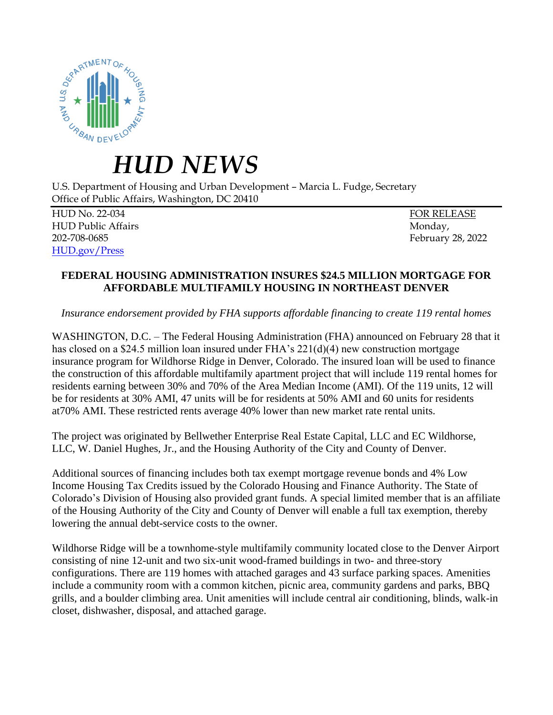

## *HUD NEWS*

U.S. Department of Housing and Urban Development – Marcia L. Fudge, Secretary Office of Public Affairs, Washington, DC 20410

HUD No. 22-034 FOR RELEASE HUD Public Affairs **Monday**, **Monday, Monday**, **Monday**, **Monday**, **Monday**, **Monday**, **Monday**, **Monday**, **Monday**, **Monday**, **Monday**, **Monday**, **Monday**, **Monday**, **Monday**, **Monday**, **Monday**, **Monday**, **Monday**, **Mo** 202-708-0685 February 28, 2022 [HUD.gov/Press](https://www.hud.gov/press)

## **FEDERAL HOUSING ADMINISTRATION INSURES \$24.5 MILLION MORTGAGE FOR AFFORDABLE MULTIFAMILY HOUSING IN NORTHEAST DENVER**

*Insurance endorsement provided by FHA supports affordable financing to create 119 rental homes*

WASHINGTON, D.C. – The Federal Housing Administration (FHA) announced on February 28 that it has closed on a \$24.5 million loan insured under FHA's 221(d)(4) new construction mortgage insurance program for Wildhorse Ridge in Denver, Colorado. The insured loan will be used to finance the construction of this affordable multifamily apartment project that will include 119 rental homes for residents earning between 30% and 70% of the Area Median Income (AMI). Of the 119 units, 12 will be for residents at 30% AMI, 47 units will be for residents at 50% AMI and 60 units for residents at70% AMI. These restricted rents average 40% lower than new market rate rental units.

The project was originated by Bellwether Enterprise Real Estate Capital, LLC and EC Wildhorse, LLC, W. Daniel Hughes, Jr., and the Housing Authority of the City and County of Denver.

Additional sources of financing includes both tax exempt mortgage revenue bonds and 4% Low Income Housing Tax Credits issued by the Colorado Housing and Finance Authority. The State of Colorado's Division of Housing also provided grant funds. A special limited member that is an affiliate of the Housing Authority of the City and County of Denver will enable a full tax exemption, thereby lowering the annual debt-service costs to the owner.

Wildhorse Ridge will be a townhome-style multifamily community located close to the Denver Airport consisting of nine 12-unit and two six-unit wood-framed buildings in two- and three-story configurations. There are 119 homes with attached garages and 43 surface parking spaces. Amenities include a community room with a common kitchen, picnic area, community gardens and parks, BBQ grills, and a boulder climbing area. Unit amenities will include central air conditioning, blinds, walk-in closet, dishwasher, disposal, and attached garage.